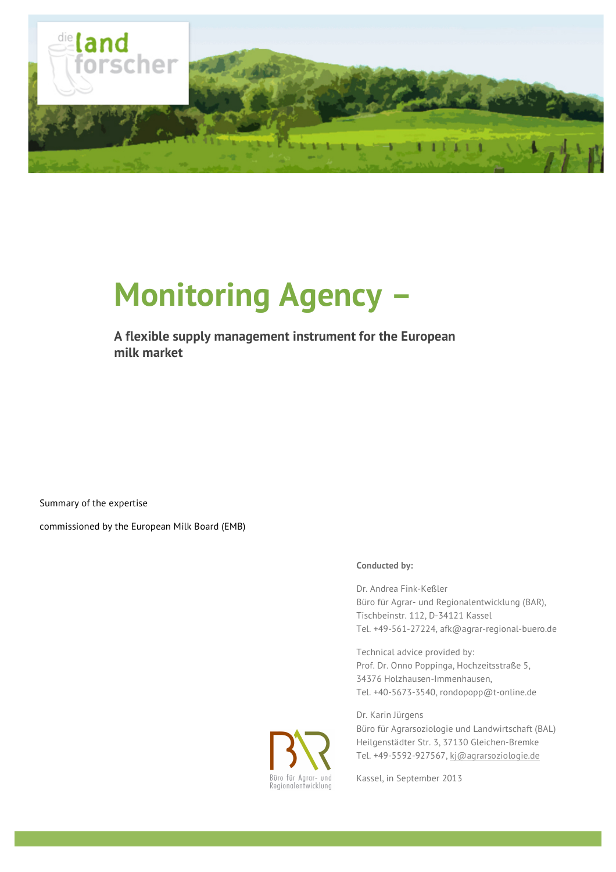

# **Monitoring Agency –**

#### **A flexible supply management instrument for the European milk market**

Summary of the expertise

commissioned by the European Milk Board (EMB)

#### **Conducted by:**

Dr. Andrea Fink-Keßler Büro für Agrar- und Regionalentwicklung (BAR), Tischbeinstr. 112, D-34121 Kassel Tel. +49-561-27224, afk@agrar-regional-buero.de

Technical advice provided by: Prof. Dr. Onno Poppinga, Hochzeitsstraße 5, 34376 Holzhausen-Immenhausen, Tel. +40-5673-3540, rondopopp@t-online.de

Dr. Karin Jürgens Büro für Agrarsoziologie und Landwirtschaft (BAL) Heilgenstädter Str. 3, 37130 Gleichen-Bremke Tel. +49-5592-927567, kj@agrarsoziologie.de

Büro für Agrar- und<br>Regionalentwicklung

Kassel, in September 2013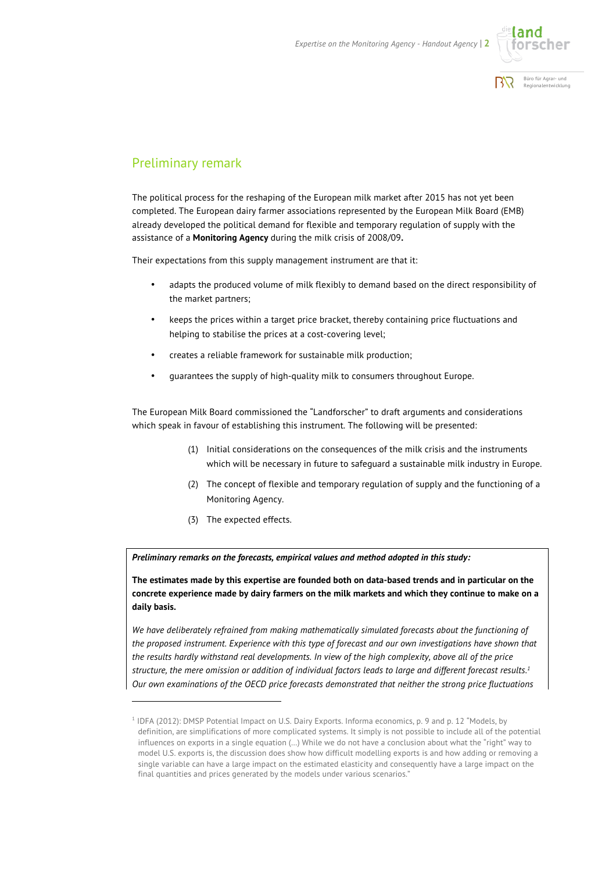



#### Preliminary remark

The political process for the reshaping of the European milk market after 2015 has not yet been completed. The European dairy farmer associations represented by the European Milk Board (EMB) already developed the political demand for flexible and temporary regulation of supply with the assistance of a **Monitoring Agency** during the milk crisis of 2008/09**.**

Their expectations from this supply management instrument are that it:

- adapts the produced volume of milk flexibly to demand based on the direct responsibility of the market partners;
- keeps the prices within a target price bracket, thereby containing price fluctuations and helping to stabilise the prices at a cost-covering level;
- creates a reliable framework for sustainable milk production;
- guarantees the supply of high-quality milk to consumers throughout Europe.

The European Milk Board commissioned the "Landforscher" to draft arguments and considerations which speak in favour of establishing this instrument. The following will be presented:

- (1) Initial considerations on the consequences of the milk crisis and the instruments which will be necessary in future to safeguard a sustainable milk industry in Europe.
- (2) The concept of flexible and temporary regulation of supply and the functioning of a Monitoring Agency.
- (3) The expected effects.

 $\overline{a}$ 

*Preliminary remarks on the forecasts, empirical values and method adopted in this study:* 

**The estimates made by this expertise are founded both on data-based trends and in particular on the concrete experience made by dairy farmers on the milk markets and which they continue to make on a daily basis.**

*We have deliberately refrained from making mathematically simulated forecasts about the functioning of the proposed instrument. Experience with this type of forecast and our own investigations have shown that the results hardly withstand real developments. In view of the high complexity, above all of the price structure, the mere omission or addition of individual factors leads to large and different forecast results.1 Our own examinations of the OECD price forecasts demonstrated that neither the strong price fluctuations* 

<sup>1</sup> IDFA (2012): DMSP Potential Impact on U.S. Dairy Exports. Informa economics, p. 9 and p. 12 "Models, by definition, are simplifications of more complicated systems. It simply is not possible to include all of the potential influences on exports in a single equation (…) While we do not have a conclusion about what the "right" way to model U.S. exports is, the discussion does show how difficult modelling exports is and how adding or removing a single variable can have a large impact on the estimated elasticity and consequently have a large impact on the final quantities and prices generated by the models under various scenarios."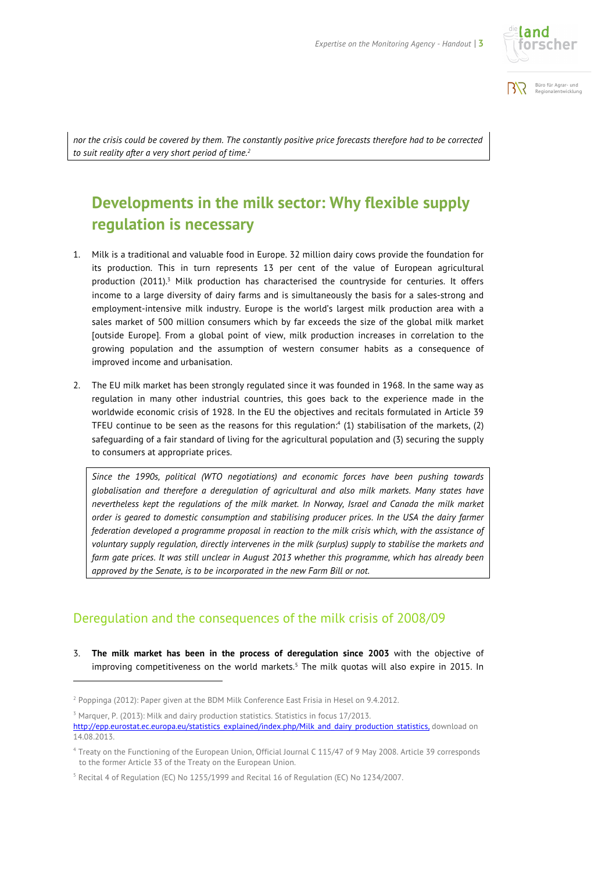



*nor the crisis could be covered by them. The constantly positive price forecasts therefore had to be corrected to suit reality after a very short period of time.2*

## **Developments in the milk sector: Why flexible supply regulation is necessary**

- 1. Milk is a traditional and valuable food in Europe. 32 million dairy cows provide the foundation for its production. This in turn represents 13 per cent of the value of European agricultural production  $(2011)^3$  Milk production has characterised the countryside for centuries. It offers income to a large diversity of dairy farms and is simultaneously the basis for a sales-strong and employment-intensive milk industry. Europe is the world's largest milk production area with a sales market of 500 million consumers which by far exceeds the size of the global milk market [outside Europe]. From a global point of view, milk production increases in correlation to the growing population and the assumption of western consumer habits as a consequence of improved income and urbanisation.
- 2. The EU milk market has been strongly regulated since it was founded in 1968. In the same way as regulation in many other industrial countries, this goes back to the experience made in the worldwide economic crisis of 1928. In the EU the objectives and recitals formulated in Article 39 TFEU continue to be seen as the reasons for this regulation: $4$  (1) stabilisation of the markets, (2) safeguarding of a fair standard of living for the agricultural population and (3) securing the supply to consumers at appropriate prices.

*Since the 1990s, political (WTO negotiations) and economic forces have been pushing towards globalisation and therefore a deregulation of agricultural and also milk markets. Many states have nevertheless kept the regulations of the milk market. In Norway, Israel and Canada the milk market order is geared to domestic consumption and stabilising producer prices. In the USA the dairy farmer federation developed a programme proposal in reaction to the milk crisis which, with the assistance of voluntary supply regulation, directly intervenes in the milk (surplus) supply to stabilise the markets and farm gate prices. It was still unclear in August 2013 whether this programme, which has already been approved by the Senate, is to be incorporated in the new Farm Bill or not.* 

#### Deregulation and the consequences of the milk crisis of 2008/09

3. **The milk market has been in the process of deregulation since 2003** with the objective of improving competitiveness on the world markets.<sup>5</sup> The milk quotas will also expire in 2015. In

l

<sup>2</sup> Poppinga (2012): Paper given at the BDM Milk Conference East Frisia in Hesel on 9.4.2012.

 $3$  Marquer, P. (2013): Milk and dairy production statistics. Statistics in focus  $17/2013$ .

http://epp.eurostat.ec.europa.eu/statistics\_explained/index.php/Milk\_and\_dairy\_production\_statistics, download on 14.08.2013.

<sup>4</sup> Treaty on the Functioning of the European Union, Official Journal C 115/47 of 9 May 2008. Article 39 corresponds to the former Article 33 of the Treaty on the European Union.

<sup>5</sup> Recital 4 of Regulation (EC) No 1255/1999 and Recital 16 of Regulation (EC) No 1234/2007.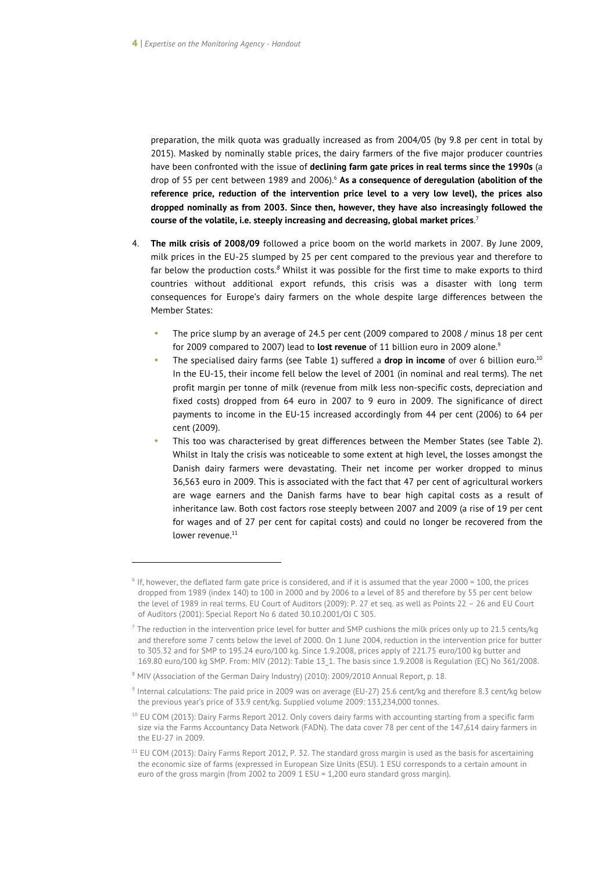preparation, the milk quota was gradually increased as from 2004/05 (by 9.8 per cent in total by 2015). Masked by nominally stable prices, the dairy farmers of the five major producer countries have been confronted with the issue of **declining farm gate prices in real terms since the 1990s** (a drop of 55 per cent between 1989 and 2006).<sup>6</sup> As a consequence of deregulation (abolition of the **reference price, reduction of the intervention price level to a very low level), the prices also dropped nominally as from 2003. Since then, however, they have also increasingly followed the course of the volatile, i.e. steeply increasing and decreasing, global market prices**. 7

- 4. **The milk crisis of 2008/09** followed a price boom on the world markets in 2007. By June 2009, milk prices in the EU-25 slumped by 25 per cent compared to the previous year and therefore to far below the production costs.*<sup>8</sup>* Whilst it was possible for the first time to make exports to third countries without additional export refunds, this crisis was a disaster with long term consequences for Europe's dairy farmers on the whole despite large differences between the Member States:
	- The price slump by an average of 24.5 per cent (2009 compared to 2008 / minus 18 per cent for 2009 compared to 2007) lead to **lost revenue** of 11 billion euro in 2009 alone.9
	- The specialised dairy farms (see Table 1) suffered a **drop in income** of over 6 billion euro.<sup>10</sup> In the EU-15, their income fell below the level of 2001 (in nominal and real terms). The net profit margin per tonne of milk (revenue from milk less non-specific costs, depreciation and fixed costs) dropped from 64 euro in 2007 to 9 euro in 2009. The significance of direct payments to income in the EU-15 increased accordingly from 44 per cent (2006) to 64 per cent (2009).
	- This too was characterised by great differences between the Member States (see Table 2). Whilst in Italy the crisis was noticeable to some extent at high level, the losses amongst the Danish dairy farmers were devastating. Their net income per worker dropped to minus 36,563 euro in 2009. This is associated with the fact that 47 per cent of agricultural workers are wage earners and the Danish farms have to bear high capital costs as a result of inheritance law. Both cost factors rose steeply between 2007 and 2009 (a rise of 19 per cent for wages and of 27 per cent for capital costs) and could no longer be recovered from the lower revenue.<sup>11</sup>

 $\overline{a}$ 

 $6$  If, however, the deflated farm gate price is considered, and if it is assumed that the year 2000 = 100, the prices dropped from 1989 (index 140) to 100 in 2000 and by 2006 to a level of 85 and therefore by 55 per cent below the level of 1989 in real terms. EU Court of Auditors (2009): P. 27 et seq. as well as Points 22 – 26 and EU Court of Auditors (2001): Special Report No 6 dated 30.10.2001/OJ C 305.

<sup>7</sup> The reduction in the intervention price level for butter and SMP cushions the milk prices only up to 21.5 cents/kg and therefore some 7 cents below the level of 2000. On 1 June 2004, reduction in the intervention price for butter to 305.32 and for SMP to 195.24 euro/100 kg. Since 1.9.2008, prices apply of 221.75 euro/100 kg butter and 169.80 euro/100 kg SMP. From: MIV (2012): Table 13\_1. The basis since 1.9.2008 is Regulation (EC) No 361/2008.

<sup>8</sup> MIV (Association of the German Dairy Industry) (2010): 2009/2010 Annual Report, p. 18.

<sup>9</sup> Internal calculations: The paid price in 2009 was on average (EU-27) 25.6 cent/kg and therefore 8.3 cent/kg below the previous year's price of 33.9 cent/kg. Supplied volume 2009: 133,234,000 tonnes.

<sup>&</sup>lt;sup>10</sup> EU COM (2013): Dairy Farms Report 2012. Only covers dairy farms with accounting starting from a specific farm size via the Farms Accountancy Data Network (FADN). The data cover 78 per cent of the 147,614 dairy farmers in the EU-27 in 2009.

<sup>&</sup>lt;sup>11</sup> EU COM (2013): Dairy Farms Report 2012, P. 32. The standard gross margin is used as the basis for ascertaining the economic size of farms (expressed in European Size Units (ESU). 1 ESU corresponds to a certain amount in euro of the gross margin (from 2002 to 2009 1 ESU = 1,200 euro standard gross margin).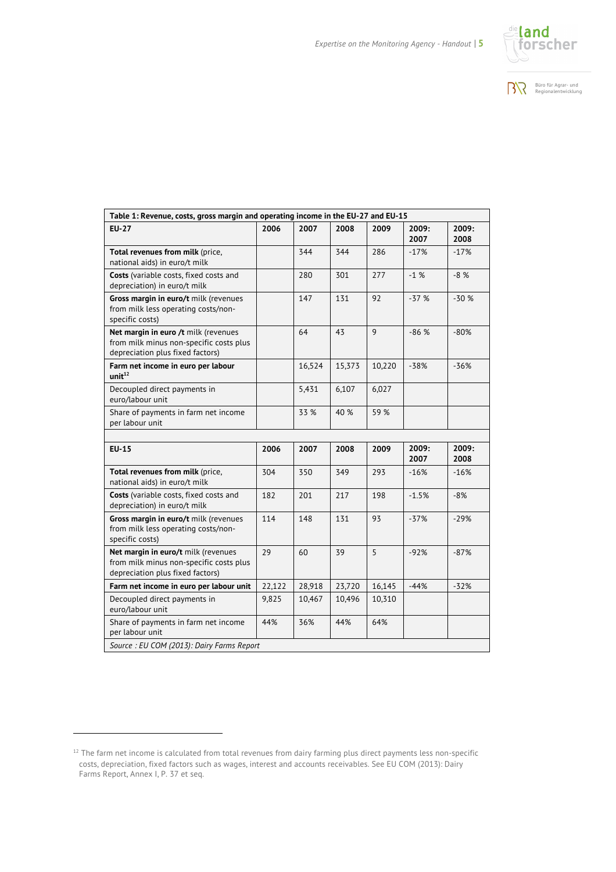



| <b>EU-27</b>                                                                                                        | 2006   | 2007   | 2008   | 2009   | 2009:<br>2007 | 2009:<br>2008 |
|---------------------------------------------------------------------------------------------------------------------|--------|--------|--------|--------|---------------|---------------|
| Total revenues from milk (price,<br>national aids) in euro/t milk                                                   |        | 344    | 344    | 286    | $-17%$        | $-17%$        |
| Costs (variable costs, fixed costs and<br>depreciation) in euro/t milk                                              |        | 280    | 301    | 277    | $-1%$         | $-8%$         |
| Gross margin in euro/t milk (revenues<br>from milk less operating costs/non-<br>specific costs)                     |        | 147    | 131    | 92     | $-37%$        | $-30%$        |
| Net margin in euro /t milk (revenues<br>from milk minus non-specific costs plus<br>depreciation plus fixed factors) |        | 64     | 43     | 9      | $-86%$        | $-80%$        |
| Farm net income in euro per labour<br>unit <sup>12</sup>                                                            |        | 16,524 | 15,373 | 10,220 | $-38%$        | $-36%$        |
| Decoupled direct payments in<br>euro/labour unit                                                                    |        | 5,431  | 6,107  | 6,027  |               |               |
| Share of payments in farm net income<br>per labour unit                                                             |        | 33 %   | 40 %   | 59 %   |               |               |
|                                                                                                                     |        |        |        |        |               |               |
| <b>EU-15</b>                                                                                                        | 2006   | 2007   | 2008   | 2009   | 2009:<br>2007 | 2009:<br>2008 |
| Total revenues from milk (price,<br>national aids) in euro/t milk                                                   | 304    | 350    | 349    | 293    | $-16%$        | $-16%$        |
| Costs (variable costs, fixed costs and<br>depreciation) in euro/t milk                                              | 182    | 201    | 217    | 198    | $-1.5%$       | $-8%$         |
| Gross margin in euro/t milk (revenues<br>from milk less operating costs/non-<br>specific costs)                     | 114    | 148    | 131    | 93     | $-37%$        | $-29%$        |
| Net margin in euro/t milk (revenues<br>from milk minus non-specific costs plus<br>depreciation plus fixed factors)  | 29     | 60     | 39     | 5      | $-92%$        | $-87%$        |
| Farm net income in euro per labour unit                                                                             | 22,122 | 28,918 | 23,720 | 16,145 | $-44%$        | $-32%$        |
|                                                                                                                     | 9,825  | 10,467 | 10,496 | 10,310 |               |               |
| Decoupled direct payments in<br>euro/labour unit                                                                    |        |        |        |        |               |               |

-

 $12$  The farm net income is calculated from total revenues from dairy farming plus direct payments less non-specific costs, depreciation, fixed factors such as wages, interest and accounts receivables. See EU COM (2013): Dairy Farms Report, Annex I, P. 37 et seq.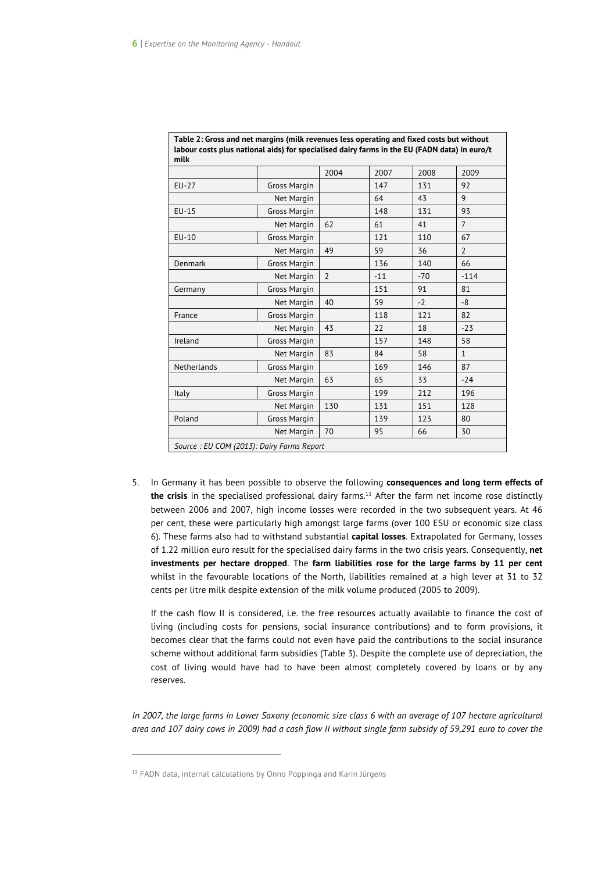|             |                     | 2004           | 2007  | 2008  | 2009           |
|-------------|---------------------|----------------|-------|-------|----------------|
| EU-27       | Gross Margin        |                | 147   | 131   | 92             |
| Net Margin  |                     |                | 64    | 43    | 9              |
| $EU-15$     | <b>Gross Margin</b> |                | 148   | 131   | 93             |
|             | Net Margin          | 62             | 61    | 41    | $\overline{7}$ |
| EU-10       | Gross Margin        |                | 121   | 110   | 67             |
|             | Net Margin          | 49             | 59    | 36    | $\overline{2}$ |
| Denmark     | Gross Margin        |                | 136   | 140   | 66             |
|             | Net Margin          | $\overline{2}$ | $-11$ | $-70$ | $-114$         |
| Germany     | Gross Margin        |                | 151   | 91    | 81             |
|             | Net Margin          | 40             | 59    | $-2$  | $-8$           |
| France      | Gross Margin        |                | 118   | 121   | 82             |
|             | Net Margin          | 43             | 22    | 18    | $-23$          |
| Ireland     | <b>Gross Margin</b> |                | 157   | 148   | 58             |
|             | Net Margin          | 83             | 84    | 58    | $\mathbf{1}$   |
| Netherlands | Gross Margin        |                | 169   | 146   | 87             |
|             | Net Margin          | 63             | 65    | 33    | $-24$          |
| Italy       | Gross Margin        |                | 199   | 212   | 196            |
|             | Net Margin          | 130            | 131   | 151   | 128            |
| Poland      | Gross Margin        |                | 139   | 123   | 80             |
|             | 70                  | 95             | 66    | 30    |                |

**Table 2: Gross and net margins (milk revenues less operating and fixed costs but without** 

5. In Germany it has been possible to observe the following **consequences and long term effects of the crisis** in the specialised professional dairy farms. <sup>13</sup> After the farm net income rose distinctly between 2006 and 2007, high income losses were recorded in the two subsequent years. At 46 per cent, these were particularly high amongst large farms (over 100 ESU or economic size class 6). These farms also had to withstand substantial **capital losses**. Extrapolated for Germany, losses of 1.22 million euro result for the specialised dairy farms in the two crisis years. Consequently, **net investments per hectare dropped**. The **farm liabilities rose for the large farms by 11 per cent**  whilst in the favourable locations of the North, liabilities remained at a high lever at 31 to 32 cents per litre milk despite extension of the milk volume produced (2005 to 2009).

If the cash flow II is considered, i.e. the free resources actually available to finance the cost of living (including costs for pensions, social insurance contributions) and to form provisions, it becomes clear that the farms could not even have paid the contributions to the social insurance scheme without additional farm subsidies (Table 3). Despite the complete use of depreciation, the cost of living would have had to have been almost completely covered by loans or by any reserves.

*In 2007, the large farms in Lower Saxony (economic size class 6 with an average of 107 hectare agricultural area and 107 dairy cows in 2009) had a cash flow II without single farm subsidy of 59,291 euro to cover the* 

<sup>&</sup>lt;sup>13</sup> FADN data, internal calculations by Onno Poppinga and Karin Jürgens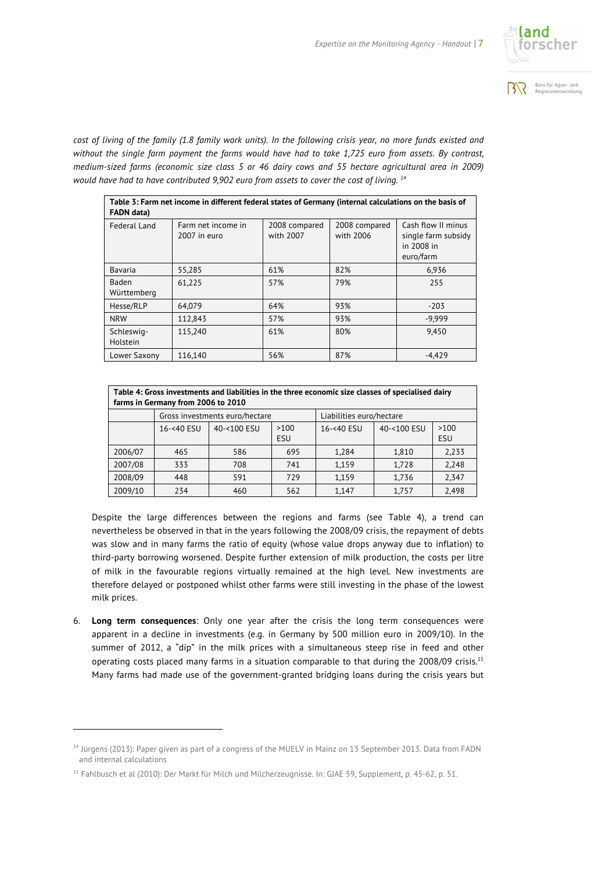



*cost of living of the family (1.8 family work units). In the following crisis year, no more funds existed and without the single farm payment the farms would have had to take 1,725 euro from assets. By contrast, medium-sized farms (economic size class 5 or 46 dairy cows and 55 hectare agricultural area in 2009) would have had to have contributed 9,902 euro from assets to cover the cost of living. <sup>14</sup>*

| Table 3: Farm net income in different federal states of Germany (internal calculations on the basis of<br><b>FADN</b> data) |                                    |                            |                            |                                                                      |  |  |  |
|-----------------------------------------------------------------------------------------------------------------------------|------------------------------------|----------------------------|----------------------------|----------------------------------------------------------------------|--|--|--|
| <b>Federal Land</b>                                                                                                         | Farm net income in<br>2007 in euro | 2008 compared<br>with 2007 | 2008 compared<br>with 2006 | Cash flow II minus<br>single farm subsidy<br>in 2008 in<br>euro/farm |  |  |  |
| Bavaria                                                                                                                     | 55,285                             | 61%                        | 82%                        | 6,936                                                                |  |  |  |
| <b>Baden</b><br>Württemberg                                                                                                 | 61,225                             | 57%                        | 79%                        | 255                                                                  |  |  |  |
| Hesse/RLP                                                                                                                   | 64.079                             | 64%                        | 93%                        | $-203$                                                               |  |  |  |
| <b>NRW</b>                                                                                                                  | 112.843                            | 57%                        | 93%                        | $-9.999$                                                             |  |  |  |
| Schleswig-<br>Holstein                                                                                                      | 115.240                            | 61%                        | 80%                        | 9,450                                                                |  |  |  |
| Lower Saxony                                                                                                                | 116,140                            | 56%                        | 87%                        | $-4.429$                                                             |  |  |  |

| Table 4: Gross investments and liabilities in the three economic size classes of specialised dairy<br>farms in Germany from 2006 to 2010 |                                |             |             |                          |             |             |  |
|------------------------------------------------------------------------------------------------------------------------------------------|--------------------------------|-------------|-------------|--------------------------|-------------|-------------|--|
|                                                                                                                                          | Gross investments euro/hectare |             |             | Liabilities euro/hectare |             |             |  |
|                                                                                                                                          | 16-<40 ESU                     | 40-<100 ESU | >100<br>ESU | 16-<40 ESU               | 40-<100 ESU | >100<br>ESU |  |
| 2006/07                                                                                                                                  | 465                            | 586         | 695         | 1,284                    | 1,810       | 2,233       |  |
| 2007/08                                                                                                                                  | 333                            | 708         | 741         | 1,159                    | 1,728       | 2,248       |  |
| 2008/09                                                                                                                                  | 448                            | 591         | 779         | 1,159                    | 1,736       | 2,347       |  |
| 2009/10                                                                                                                                  | 234                            | 460         | 562         | 1,147                    | 1.757       | 2,498       |  |

Despite the large differences between the regions and farms (see Table 4), a trend can nevertheless be observed in that in the years following the 2008/09 crisis, the repayment of debts was slow and in many farms the ratio of equity (whose value drops anyway due to inflation) to third-party borrowing worsened. Despite further extension of milk production, the costs per litre of milk in the favourable regions virtually remained at the high level. New investments are therefore delayed or postponed whilst other farms were still investing in the phase of the lowest milk prices.

6. **Long term consequences**: Only one year after the crisis the long term consequences were apparent in a decline in investments (e.g. in Germany by 500 million euro in 2009/10). In the summer of 2012, a "dip" in the milk prices with a simultaneous steep rise in feed and other operating costs placed many farms in a situation comparable to that during the 2008/09 crisis.<sup>15</sup> Many farms had made use of the government-granted bridging loans during the crisis years but

-

<sup>&</sup>lt;sup>14</sup> Jürgens (2013): Paper given as part of a congress of the MUELV in Mainz on 13 September 2013. Data from FADN and internal calculations

<sup>&</sup>lt;sup>15</sup> Fahlbusch et al (2010): Der Markt für Milch und Milcherzeugnisse. In: GJAE 59, Supplement, p. 45-62, p. 51.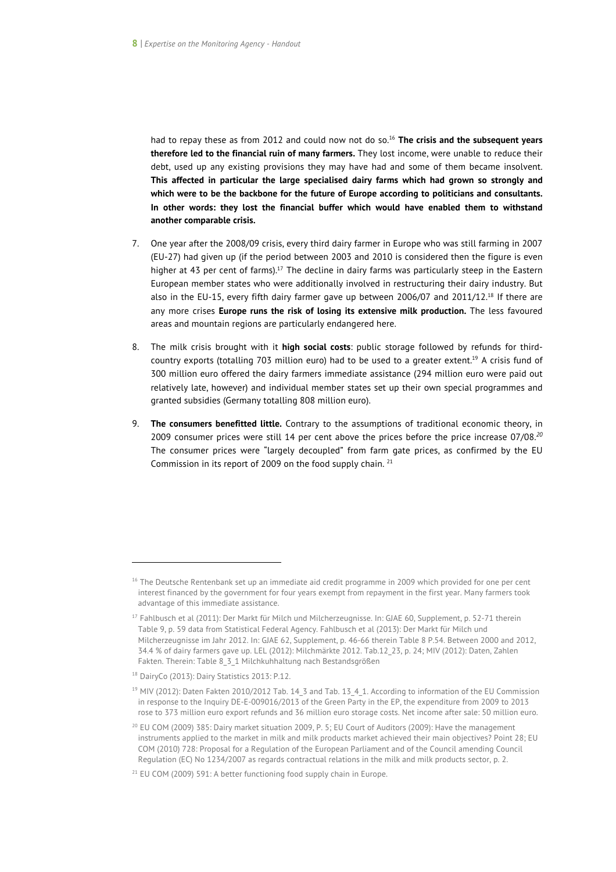had to repay these as from 2012 and could now not do so.16 **The crisis and the subsequent years therefore led to the financial ruin of many farmers.** They lost income, were unable to reduce their debt, used up any existing provisions they may have had and some of them became insolvent. **This affected in particular the large specialised dairy farms which had grown so strongly and which were to be the backbone for the future of Europe according to politicians and consultants. In other words: they lost the financial buffer which would have enabled them to withstand another comparable crisis.** 

- 7. One year after the 2008/09 crisis, every third dairy farmer in Europe who was still farming in 2007 (EU-27) had given up (if the period between 2003 and 2010 is considered then the figure is even higher at 43 per cent of farms).<sup>17</sup> The decline in dairy farms was particularly steep in the Eastern European member states who were additionally involved in restructuring their dairy industry. But also in the EU-15, every fifth dairy farmer gave up between 2006/07 and 2011/12.18 If there are any more crises **Europe runs the risk of losing its extensive milk production.** The less favoured areas and mountain regions are particularly endangered here.
- 8. The milk crisis brought with it **high social costs**: public storage followed by refunds for thirdcountry exports (totalling 703 million euro) had to be used to a greater extent.19 A crisis fund of 300 million euro offered the dairy farmers immediate assistance (294 million euro were paid out relatively late, however) and individual member states set up their own special programmes and granted subsidies (Germany totalling 808 million euro).
- 9. **The consumers benefitted little.** Contrary to the assumptions of traditional economic theory, in 2009 consumer prices were still 14 per cent above the prices before the price increase 07/08. *20* The consumer prices were "largely decoupled" from farm gate prices, as confirmed by the EU Commission in its report of 2009 on the food supply chain. <sup>21</sup>

 $\overline{a}$ 

<sup>&</sup>lt;sup>16</sup> The Deutsche Rentenbank set up an immediate aid credit programme in 2009 which provided for one per cent interest financed by the government for four years exempt from repayment in the first year. Many farmers took advantage of this immediate assistance.

<sup>&</sup>lt;sup>17</sup> Fahlbusch et al (2011): Der Markt für Milch und Milcherzeugnisse. In: GJAE 60, Supplement, p. 52-71 therein Table 9, p. 59 data from Statistical Federal Agency. Fahlbusch et al (2013): Der Markt für Milch und Milcherzeugnisse im Jahr 2012. In: GJAE 62, Supplement, p. 46-66 therein Table 8 P.54. Between 2000 and 2012, 34.4 % of dairy farmers gave up. LEL (2012): Milchmärkte 2012. Tab.12\_23, p. 24; MIV (2012): Daten, Zahlen Fakten. Therein: Table 8\_3\_1 Milchkuhhaltung nach Bestandsgrößen

<sup>18</sup> DairyCo (2013): Dairy Statistics 2013: P.12.

<sup>&</sup>lt;sup>19</sup> MIV (2012): Daten Fakten 2010/2012 Tab. 14\_3 and Tab. 13\_4\_1. According to information of the EU Commission in response to the Inquiry DE-E-009016/2013 of the Green Party in the EP, the expenditure from 2009 to 2013 rose to 373 million euro export refunds and 36 million euro storage costs. Net income after sale: 50 million euro.

 $20$  EU COM (2009) 385: Dairy market situation 2009, P. 5; EU Court of Auditors (2009): Have the management instruments applied to the market in milk and milk products market achieved their main objectives? Point 28; EU COM (2010) 728: Proposal for a Regulation of the European Parliament and of the Council amending Council Regulation (EC) No 1234/2007 as regards contractual relations in the milk and milk products sector, p. 2.

<sup>&</sup>lt;sup>21</sup> EU COM (2009) 591: A better functioning food supply chain in Europe.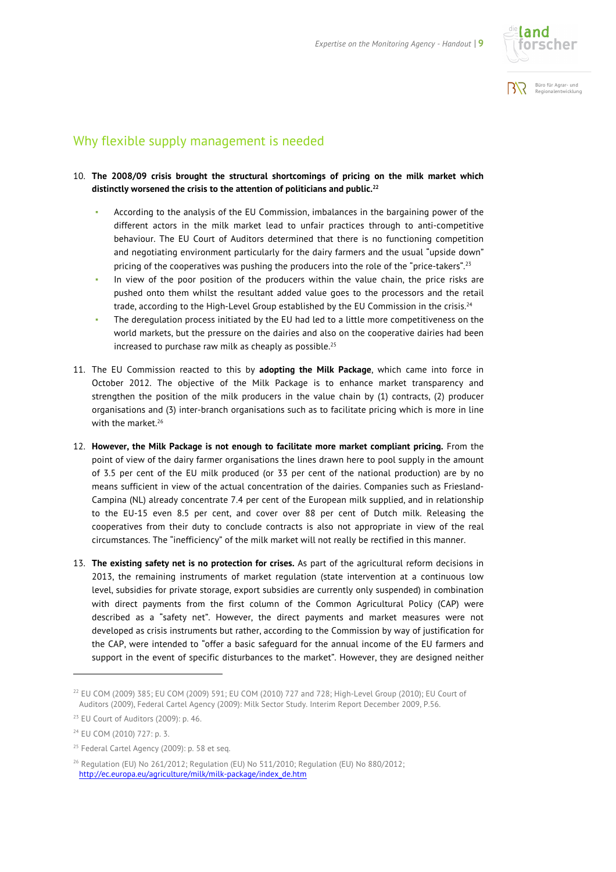



#### Why flexible supply management is needed

#### 10. **The 2008/09 crisis brought the structural shortcomings of pricing on the milk market which distinctly worsened the crisis to the attention of politicians and public. 22**

- According to the analysis of the EU Commission, imbalances in the bargaining power of the different actors in the milk market lead to unfair practices through to anti-competitive behaviour. The EU Court of Auditors determined that there is no functioning competition and negotiating environment particularly for the dairy farmers and the usual "upside down" pricing of the cooperatives was pushing the producers into the role of the "price-takers".<sup>23</sup>
- In view of the poor position of the producers within the value chain, the price risks are pushed onto them whilst the resultant added value goes to the processors and the retail trade, according to the High-Level Group established by the EU Commission in the crisis.<sup>24</sup>
- The deregulation process initiated by the EU had led to a little more competitiveness on the world markets, but the pressure on the dairies and also on the cooperative dairies had been increased to purchase raw milk as cheaply as possible.<sup>25</sup>
- 11. The EU Commission reacted to this by **adopting the Milk Package**, which came into force in October 2012. The objective of the Milk Package is to enhance market transparency and strengthen the position of the milk producers in the value chain by (1) contracts, (2) producer organisations and (3) inter-branch organisations such as to facilitate pricing which is more in line with the market.<sup>26</sup>
- 12. **However, the Milk Package is not enough to facilitate more market compliant pricing.** From the point of view of the dairy farmer organisations the lines drawn here to pool supply in the amount of 3.5 per cent of the EU milk produced (or 33 per cent of the national production) are by no means sufficient in view of the actual concentration of the dairies. Companies such as Friesland-Campina (NL) already concentrate 7.4 per cent of the European milk supplied, and in relationship to the EU-15 even 8.5 per cent, and cover over 88 per cent of Dutch milk. Releasing the cooperatives from their duty to conclude contracts is also not appropriate in view of the real circumstances. The "inefficiency" of the milk market will not really be rectified in this manner.
- 13. **The existing safety net is no protection for crises.** As part of the agricultural reform decisions in 2013, the remaining instruments of market regulation (state intervention at a continuous low level, subsidies for private storage, export subsidies are currently only suspended) in combination with direct payments from the first column of the Common Agricultural Policy (CAP) were described as a "safety net". However, the direct payments and market measures were not developed as crisis instruments but rather, according to the Commission by way of justification for the CAP, were intended to "offer a basic safeguard for the annual income of the EU farmers and support in the event of specific disturbances to the market". However, they are designed neither

-

<sup>22</sup> EU COM (2009) 385; EU COM (2009) 591; EU COM (2010) 727 and 728; High-Level Group (2010); EU Court of Auditors (2009), Federal Cartel Agency (2009): Milk Sector Study. Interim Report December 2009, P.56.

<sup>23</sup> EU Court of Auditors (2009): p. 46.

<sup>24</sup> EU COM (2010) 727: p. 3.

<sup>25</sup> Federal Cartel Agency (2009): p. 58 et seq.

<sup>26</sup> Regulation (EU) No 261/2012; Regulation (EU) No 511/2010; Regulation (EU) No 880/2012; http://ec.europa.eu/agriculture/milk/milk-package/index\_de.htm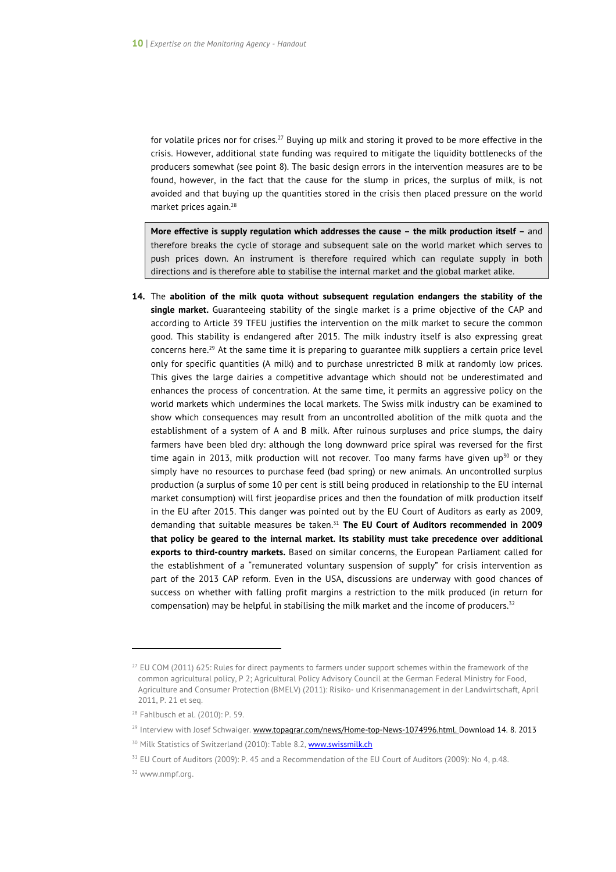for volatile prices nor for crises.<sup>27</sup> Buying up milk and storing it proved to be more effective in the crisis. However, additional state funding was required to mitigate the liquidity bottlenecks of the producers somewhat (see point 8). The basic design errors in the intervention measures are to be found, however, in the fact that the cause for the slump in prices, the surplus of milk, is not avoided and that buying up the quantities stored in the crisis then placed pressure on the world market prices again.<sup>28</sup>

**More effective is supply regulation which addresses the cause – the milk production itself –** and therefore breaks the cycle of storage and subsequent sale on the world market which serves to push prices down. An instrument is therefore required which can regulate supply in both directions and is therefore able to stabilise the internal market and the global market alike.

**14.** The **abolition of the milk quota without subsequent regulation endangers the stability of the single market.** Guaranteeing stability of the single market is a prime objective of the CAP and according to Article 39 TFEU justifies the intervention on the milk market to secure the common good. This stability is endangered after 2015. The milk industry itself is also expressing great concerns here.<sup>29</sup> At the same time it is preparing to quarantee milk suppliers a certain price level only for specific quantities (A milk) and to purchase unrestricted B milk at randomly low prices. This gives the large dairies a competitive advantage which should not be underestimated and enhances the process of concentration. At the same time, it permits an aggressive policy on the world markets which undermines the local markets. The Swiss milk industry can be examined to show which consequences may result from an uncontrolled abolition of the milk quota and the establishment of a system of A and B milk. After ruinous surpluses and price slumps, the dairy farmers have been bled dry: although the long downward price spiral was reversed for the first time again in 2013, milk production will not recover. Too many farms have given up<sup>30</sup> or they simply have no resources to purchase feed (bad spring) or new animals. An uncontrolled surplus production (a surplus of some 10 per cent is still being produced in relationship to the EU internal market consumption) will first jeopardise prices and then the foundation of milk production itself in the EU after 2015. This danger was pointed out by the EU Court of Auditors as early as 2009, demanding that suitable measures be taken.31 **The EU Court of Auditors recommended in 2009 that policy be geared to the internal market. Its stability must take precedence over additional exports to third-country markets.** Based on similar concerns, the European Parliament called for the establishment of a "remunerated voluntary suspension of supply" for crisis intervention as part of the 2013 CAP reform. Even in the USA, discussions are underway with good chances of success on whether with falling profit margins a restriction to the milk produced (in return for compensation) may be helpful in stabilising the milk market and the income of producers.<sup>32</sup>

<sup>&</sup>lt;sup>27</sup> EU COM (2011) 625: Rules for direct payments to farmers under support schemes within the framework of the common agricultural policy, P 2; Agricultural Policy Advisory Council at the German Federal Ministry for Food, Agriculture and Consumer Protection (BMELV) (2011): Risiko- und Krisenmanagement in der Landwirtschaft, April 2011, P. 21 et seq.

<sup>28</sup> Fahlbusch et al. (2010): P. 59.

<sup>&</sup>lt;sup>29</sup> Interview with Josef Schwaiger. www.topagrar.com/news/Home-top-News-1074996.html. Download 14. 8. 2013

<sup>&</sup>lt;sup>30</sup> Milk Statistics of Switzerland (2010): Table 8.2, **www.swissmilk.ch** 

<sup>&</sup>lt;sup>31</sup> EU Court of Auditors (2009): P. 45 and a Recommendation of the EU Court of Auditors (2009): No 4, p.48.

<sup>32</sup> www.nmpf.org.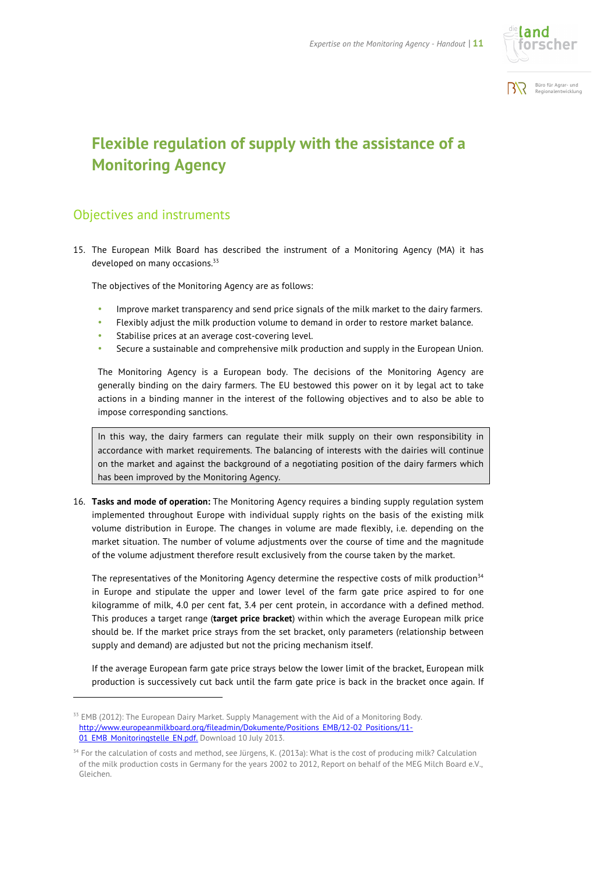



# **Flexible regulation of supply with the assistance of a Monitoring Agency**

#### Objectives and instruments

l

15. The European Milk Board has described the instrument of a Monitoring Agency (MA) it has developed on many occasions.<sup>33</sup>

The objectives of the Monitoring Agency are as follows:

- Improve market transparency and send price signals of the milk market to the dairy farmers.
- Flexibly adjust the milk production volume to demand in order to restore market balance.
- Stabilise prices at an average cost-covering level.
- Secure a sustainable and comprehensive milk production and supply in the European Union.

The Monitoring Agency is a European body. The decisions of the Monitoring Agency are generally binding on the dairy farmers. The EU bestowed this power on it by legal act to take actions in a binding manner in the interest of the following objectives and to also be able to impose corresponding sanctions.

In this way, the dairy farmers can regulate their milk supply on their own responsibility in accordance with market requirements. The balancing of interests with the dairies will continue on the market and against the background of a negotiating position of the dairy farmers which has been improved by the Monitoring Agency.

16. **Tasks and mode of operation:** The Monitoring Agency requires a binding supply regulation system implemented throughout Europe with individual supply rights on the basis of the existing milk volume distribution in Europe. The changes in volume are made flexibly, i.e. depending on the market situation. The number of volume adjustments over the course of time and the magnitude of the volume adjustment therefore result exclusively from the course taken by the market.

The representatives of the Monitoring Agency determine the respective costs of milk production<sup>34</sup> in Europe and stipulate the upper and lower level of the farm gate price aspired to for one kilogramme of milk, 4.0 per cent fat, 3.4 per cent protein, in accordance with a defined method. This produces a target range (**target price bracket**) within which the average European milk price should be. If the market price strays from the set bracket, only parameters (relationship between supply and demand) are adjusted but not the pricing mechanism itself.

If the average European farm gate price strays below the lower limit of the bracket, European milk production is successively cut back until the farm gate price is back in the bracket once again. If

<sup>&</sup>lt;sup>33</sup> EMB (2012): The European Dairy Market. Supply Management with the Aid of a Monitoring Body. http://www.europeanmilkboard.org/fileadmin/Dokumente/Positions\_EMB/12-02\_Positions/11-01 EMB Monitoringstelle EN.pdf. Download 10 July 2013.

<sup>34</sup> For the calculation of costs and method, see Jürgens, K. (2013a): What is the cost of producing milk? Calculation of the milk production costs in Germany for the years 2002 to 2012, Report on behalf of the MEG Milch Board e.V., Gleichen.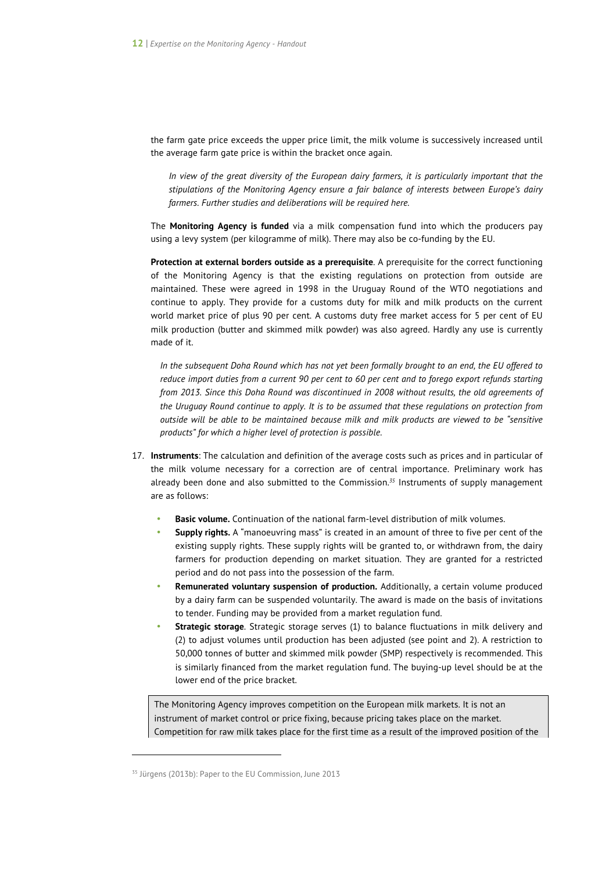the farm gate price exceeds the upper price limit, the milk volume is successively increased until the average farm gate price is within the bracket once again.

*In view of the great diversity of the European dairy farmers, it is particularly important that the stipulations of the Monitoring Agency ensure a fair balance of interests between Europe's dairy farmers. Further studies and deliberations will be required here.* 

The **Monitoring Agency is funded** via a milk compensation fund into which the producers pay using a levy system (per kilogramme of milk). There may also be co-funding by the EU.

**Protection at external borders outside as a prerequisite**. A prerequisite for the correct functioning of the Monitoring Agency is that the existing regulations on protection from outside are maintained. These were agreed in 1998 in the Uruguay Round of the WTO negotiations and continue to apply. They provide for a customs duty for milk and milk products on the current world market price of plus 90 per cent. A customs duty free market access for 5 per cent of EU milk production (butter and skimmed milk powder) was also agreed. Hardly any use is currently made of it.

*In the subsequent Doha Round which has not yet been formally brought to an end, the EU offered to reduce import duties from a current 90 per cent to 60 per cent and to forego export refunds starting from 2013. Since this Doha Round was discontinued in 2008 without results, the old agreements of the Uruguay Round continue to apply. It is to be assumed that these regulations on protection from outside will be able to be maintained because milk and milk products are viewed to be "sensitive products" for which a higher level of protection is possible.* 

- 17. **Instruments**: The calculation and definition of the average costs such as prices and in particular of the milk volume necessary for a correction are of central importance. Preliminary work has already been done and also submitted to the Commission.*<sup>35</sup>* Instruments of supply management are as follows:
	- **Basic volume.** Continuation of the national farm-level distribution of milk volumes.
	- **Supply rights.** A "manoeuvring mass" is created in an amount of three to five per cent of the existing supply rights. These supply rights will be granted to, or withdrawn from, the dairy farmers for production depending on market situation. They are granted for a restricted period and do not pass into the possession of the farm.
	- **Remunerated voluntary suspension of production.** Additionally, a certain volume produced by a dairy farm can be suspended voluntarily. The award is made on the basis of invitations to tender. Funding may be provided from a market regulation fund.
	- **Strategic storage**. Strategic storage serves (1) to balance fluctuations in milk delivery and (2) to adjust volumes until production has been adjusted (see point and 2). A restriction to 50,000 tonnes of butter and skimmed milk powder (SMP) respectively is recommended. This is similarly financed from the market regulation fund. The buying-up level should be at the lower end of the price bracket.

The Monitoring Agency improves competition on the European milk markets. It is not an instrument of market control or price fixing, because pricing takes place on the market. Competition for raw milk takes place for the first time as a result of the improved position of the

<sup>&</sup>lt;sup>35</sup> Jürgens (2013b): Paper to the EU Commission, June 2013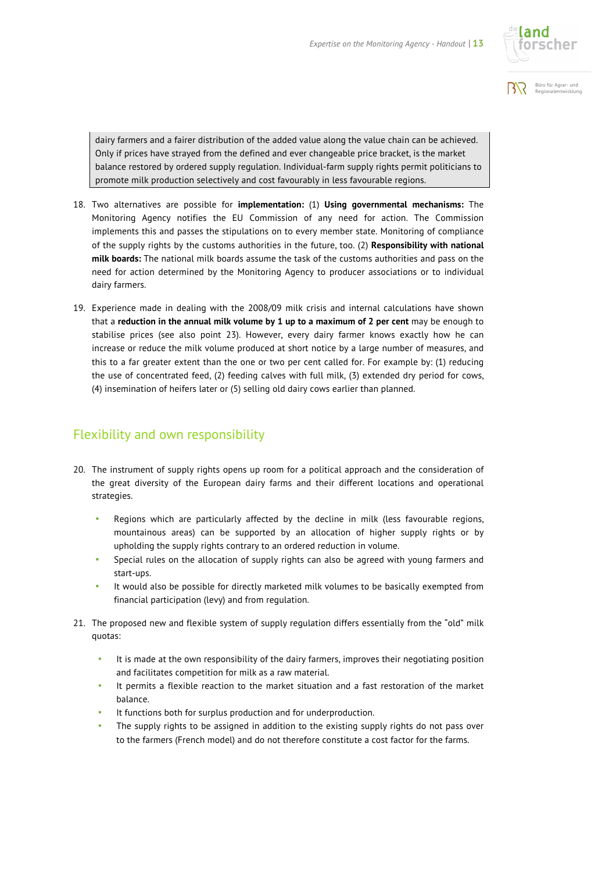



dairy farmers and a fairer distribution of the added value along the value chain can be achieved. Only if prices have strayed from the defined and ever changeable price bracket, is the market balance restored by ordered supply regulation. Individual-farm supply rights permit politicians to promote milk production selectively and cost favourably in less favourable regions.

- 18. Two alternatives are possible for **implementation:** (1) **Using governmental mechanisms:** The Monitoring Agency notifies the EU Commission of any need for action. The Commission implements this and passes the stipulations on to every member state. Monitoring of compliance of the supply rights by the customs authorities in the future, too. (2) **Responsibility with national milk boards:** The national milk boards assume the task of the customs authorities and pass on the need for action determined by the Monitoring Agency to producer associations or to individual dairy farmers.
- 19. Experience made in dealing with the 2008/09 milk crisis and internal calculations have shown that a **reduction in the annual milk volume by 1 up to a maximum of 2 per cent** may be enough to stabilise prices (see also point 23). However, every dairy farmer knows exactly how he can increase or reduce the milk volume produced at short notice by a large number of measures, and this to a far greater extent than the one or two per cent called for. For example by: (1) reducing the use of concentrated feed, (2) feeding calves with full milk, (3) extended dry period for cows, (4) insemination of heifers later or (5) selling old dairy cows earlier than planned.

#### Flexibility and own responsibility

- 20. The instrument of supply rights opens up room for a political approach and the consideration of the great diversity of the European dairy farms and their different locations and operational strategies.
	- Regions which are particularly affected by the decline in milk (less favourable regions, mountainous areas) can be supported by an allocation of higher supply rights or by upholding the supply rights contrary to an ordered reduction in volume.
	- Special rules on the allocation of supply rights can also be agreed with young farmers and start-ups.
	- It would also be possible for directly marketed milk volumes to be basically exempted from financial participation (levy) and from regulation.
- 21. The proposed new and flexible system of supply regulation differs essentially from the "old" milk quotas:
	- It is made at the own responsibility of the dairy farmers, improves their negotiating position and facilitates competition for milk as a raw material.
	- It permits a flexible reaction to the market situation and a fast restoration of the market balance.
	- It functions both for surplus production and for underproduction.
	- The supply rights to be assigned in addition to the existing supply rights do not pass over to the farmers (French model) and do not therefore constitute a cost factor for the farms.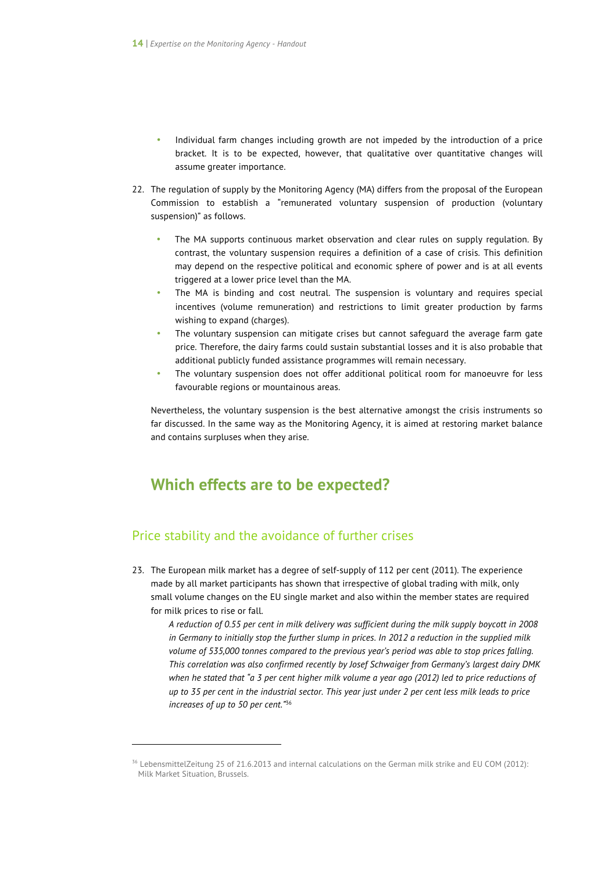- Individual farm changes including growth are not impeded by the introduction of a price bracket. It is to be expected, however, that qualitative over quantitative changes will assume greater importance.
- 22. The regulation of supply by the Monitoring Agency (MA) differs from the proposal of the European Commission to establish a "remunerated voluntary suspension of production (voluntary suspension)" as follows.
	- The MA supports continuous market observation and clear rules on supply regulation. By contrast, the voluntary suspension requires a definition of a case of crisis. This definition may depend on the respective political and economic sphere of power and is at all events triggered at a lower price level than the MA.
	- The MA is binding and cost neutral. The suspension is voluntary and requires special incentives (volume remuneration) and restrictions to limit greater production by farms wishing to expand (charges).
	- The voluntary suspension can mitigate crises but cannot safeguard the average farm gate price. Therefore, the dairy farms could sustain substantial losses and it is also probable that additional publicly funded assistance programmes will remain necessary.
	- The voluntary suspension does not offer additional political room for manoeuvre for less favourable regions or mountainous areas.

Nevertheless, the voluntary suspension is the best alternative amongst the crisis instruments so far discussed. In the same way as the Monitoring Agency, it is aimed at restoring market balance and contains surpluses when they arise.

### **Which effects are to be expected?**

#### Price stability and the avoidance of further crises

 $\overline{a}$ 

23. The European milk market has a degree of self-supply of 112 per cent (2011). The experience made by all market participants has shown that irrespective of global trading with milk, only small volume changes on the EU single market and also within the member states are required for milk prices to rise or fall.

*A reduction of 0.55 per cent in milk delivery was sufficient during the milk supply boycott in 2008 in Germany to initially stop the further slump in prices. In 2012 a reduction in the supplied milk volume of 535,000 tonnes compared to the previous year's period was able to stop prices falling. This correlation was also confirmed recently by Josef Schwaiger from Germany's largest dairy DMK when he stated that "a 3 per cent higher milk volume a year ago (2012) led to price reductions of up to 35 per cent in the industrial sector. This year just under 2 per cent less milk leads to price increases of up to 50 per cent."*<sup>36</sup>

<sup>36</sup> LebensmittelZeitung 25 of 21.6.2013 and internal calculations on the German milk strike and EU COM (2012): Milk Market Situation, Brussels.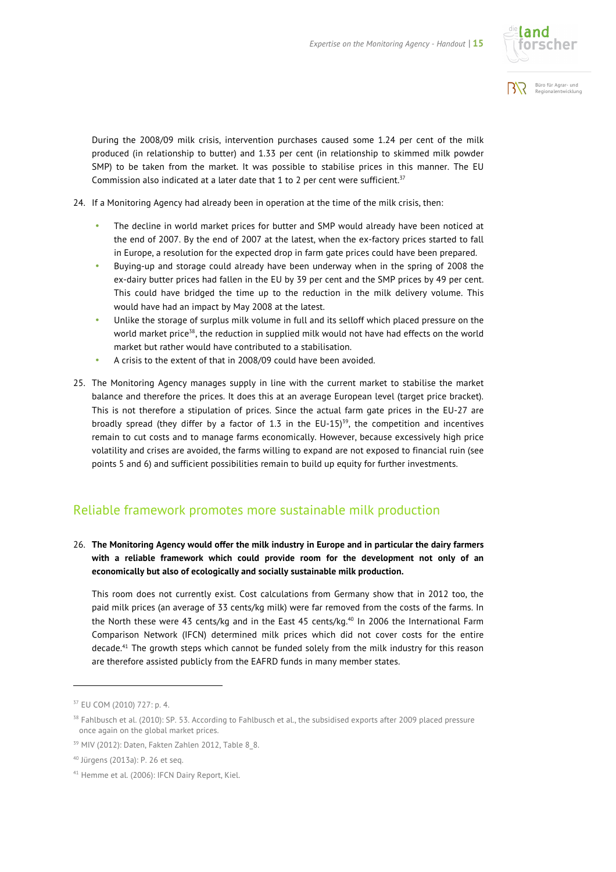

Büro für Agrar- und SYF. Regionalentwicklung

During the 2008/09 milk crisis, intervention purchases caused some 1.24 per cent of the milk produced (in relationship to butter) and 1.33 per cent (in relationship to skimmed milk powder SMP) to be taken from the market. It was possible to stabilise prices in this manner. The EU Commission also indicated at a later date that 1 to 2 per cent were sufficient.<sup>37</sup>

- 24. If a Monitoring Agency had already been in operation at the time of the milk crisis, then:
	- The decline in world market prices for butter and SMP would already have been noticed at the end of 2007. By the end of 2007 at the latest, when the ex-factory prices started to fall in Europe, a resolution for the expected drop in farm gate prices could have been prepared.
	- Buying-up and storage could already have been underway when in the spring of 2008 the ex-dairy butter prices had fallen in the EU by 39 per cent and the SMP prices by 49 per cent. This could have bridged the time up to the reduction in the milk delivery volume. This would have had an impact by May 2008 at the latest.
	- Unlike the storage of surplus milk volume in full and its selloff which placed pressure on the world market price<sup>38</sup>, the reduction in supplied milk would not have had effects on the world market but rather would have contributed to a stabilisation.
	- A crisis to the extent of that in 2008/09 could have been avoided.
- 25. The Monitoring Agency manages supply in line with the current market to stabilise the market balance and therefore the prices. It does this at an average European level (target price bracket). This is not therefore a stipulation of prices. Since the actual farm gate prices in the EU-27 are broadly spread (they differ by a factor of 1.3 in the  $EU-15$ <sup>39</sup>, the competition and incentives remain to cut costs and to manage farms economically. However, because excessively high price volatility and crises are avoided, the farms willing to expand are not exposed to financial ruin (see points 5 and 6) and sufficient possibilities remain to build up equity for further investments.

#### Reliable framework promotes more sustainable milk production

26. **The Monitoring Agency would offer the milk industry in Europe and in particular the dairy farmers with a reliable framework which could provide room for the development not only of an economically but also of ecologically and socially sustainable milk production.** 

This room does not currently exist. Cost calculations from Germany show that in 2012 too, the paid milk prices (an average of 33 cents/kg milk) were far removed from the costs of the farms. In the North these were 43 cents/kg and in the East 45 cents/kg.<sup>40</sup> In 2006 the International Farm Comparison Network (IFCN) determined milk prices which did not cover costs for the entire decade.<sup>41</sup> The growth steps which cannot be funded solely from the milk industry for this reason are therefore assisted publicly from the EAFRD funds in many member states.

l

<sup>37</sup> EU COM (2010) 727: p. 4.

<sup>&</sup>lt;sup>38</sup> Fahlbusch et al. (2010): SP. 53. According to Fahlbusch et al., the subsidised exports after 2009 placed pressure once again on the global market prices.

<sup>39</sup> MIV (2012): Daten, Fakten Zahlen 2012, Table 8\_8.

<sup>40</sup> Jürgens (2013a): P. 26 et seq.

<sup>41</sup> Hemme et al. (2006): IFCN Dairy Report, Kiel.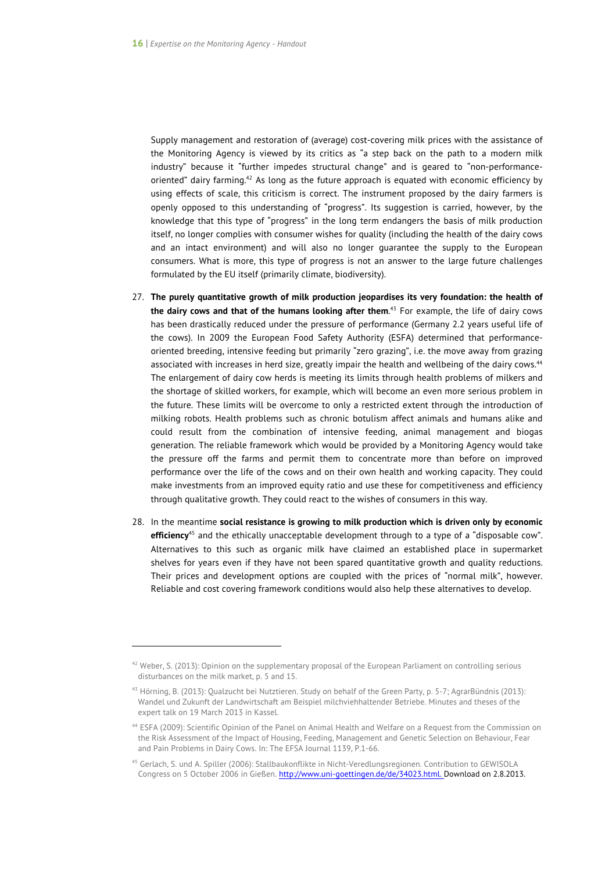Supply management and restoration of (average) cost-covering milk prices with the assistance of the Monitoring Agency is viewed by its critics as "a step back on the path to a modern milk industry" because it "further impedes structural change" and is geared to "non-performanceoriented" dairy farming.42 As long as the future approach is equated with economic efficiency by using effects of scale, this criticism is correct. The instrument proposed by the dairy farmers is openly opposed to this understanding of "progress". Its suggestion is carried, however, by the knowledge that this type of "progress" in the long term endangers the basis of milk production itself, no longer complies with consumer wishes for quality (including the health of the dairy cows and an intact environment) and will also no longer guarantee the supply to the European consumers. What is more, this type of progress is not an answer to the large future challenges formulated by the EU itself (primarily climate, biodiversity).

- 27. **The purely quantitative growth of milk production jeopardises its very foundation: the health of the dairy cows and that of the humans looking after them**. <sup>43</sup> For example, the life of dairy cows has been drastically reduced under the pressure of performance (Germany 2.2 years useful life of the cows). In 2009 the European Food Safety Authority (ESFA) determined that performanceoriented breeding, intensive feeding but primarily "zero grazing", i.e. the move away from grazing associated with increases in herd size, greatly impair the health and wellbeing of the dairy cows.<sup>44</sup> The enlargement of dairy cow herds is meeting its limits through health problems of milkers and the shortage of skilled workers, for example, which will become an even more serious problem in the future. These limits will be overcome to only a restricted extent through the introduction of milking robots. Health problems such as chronic botulism affect animals and humans alike and could result from the combination of intensive feeding, animal management and biogas generation. The reliable framework which would be provided by a Monitoring Agency would take the pressure off the farms and permit them to concentrate more than before on improved performance over the life of the cows and on their own health and working capacity. They could make investments from an improved equity ratio and use these for competitiveness and efficiency through qualitative growth. They could react to the wishes of consumers in this way.
- 28. In the meantime **social resistance is growing to milk production which is driven only by economic efficiency**<sup>45</sup> and the ethically unacceptable development through to a type of a "disposable cow". Alternatives to this such as organic milk have claimed an established place in supermarket shelves for years even if they have not been spared quantitative growth and quality reductions. Their prices and development options are coupled with the prices of "normal milk", however. Reliable and cost covering framework conditions would also help these alternatives to develop.

 $\overline{a}$ 

 $42$  Weber, S. (2013): Opinion on the supplementary proposal of the European Parliament on controlling serious disturbances on the milk market, p. 5 and 15.

 $43$  Hörning, B. (2013): Qualzucht bei Nutztieren. Study on behalf of the Green Party, p. 5-7; AgrarBündnis (2013): Wandel und Zukunft der Landwirtschaft am Beispiel milchviehhaltender Betriebe. Minutes and theses of the expert talk on 19 March 2013 in Kassel.

<sup>44</sup> ESFA (2009): Scientific Opinion of the Panel on Animal Health and Welfare on a Request from the Commission on the Risk Assessment of the Impact of Housing, Feeding, Management and Genetic Selection on Behaviour, Fear and Pain Problems in Dairy Cows. In: The EFSA Journal 1139, P.1-66.

<sup>45</sup> Gerlach, S. und A. Spiller (2006): Stallbaukonflikte in Nicht-Veredlungsregionen. Contribution to GEWISOLA Congress on 5 October 2006 in Gießen. http://www.uni-goettingen.de/de/34023.html. Download on 2.8.2013.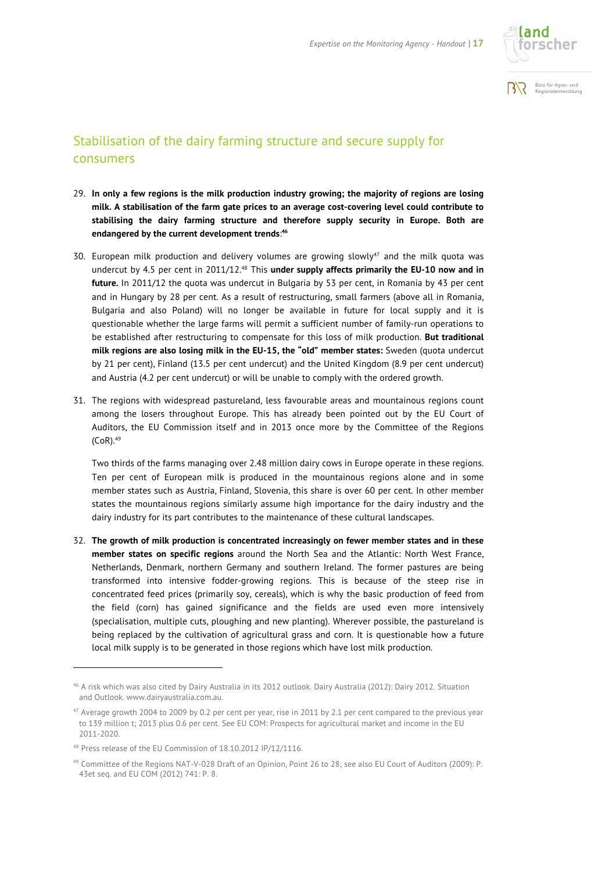



#### Stabilisation of the dairy farming structure and secure supply for consumers

- 29. **In only a few regions is the milk production industry growing; the majority of regions are losing milk. A stabilisation of the farm gate prices to an average cost-covering level could contribute to stabilising the dairy farming structure and therefore supply security in Europe. Both are endangered by the current development trends**: **46**
- 30. European milk production and delivery volumes are growing slowly<sup>47</sup> and the milk quota was undercut by 4.5 per cent in 2011/12.<sup>48</sup> This **under supply affects primarily the EU-10 now and in future.** In 2011/12 the quota was undercut in Bulgaria by 53 per cent, in Romania by 43 per cent and in Hungary by 28 per cent. As a result of restructuring, small farmers (above all in Romania, Bulgaria and also Poland) will no longer be available in future for local supply and it is questionable whether the large farms will permit a sufficient number of family-run operations to be established after restructuring to compensate for this loss of milk production. **But traditional milk regions are also losing milk in the EU-15, the "old" member states:** Sweden (quota undercut by 21 per cent), Finland (13.5 per cent undercut) and the United Kingdom (8.9 per cent undercut) and Austria (4.2 per cent undercut) or will be unable to comply with the ordered growth.
- 31. The regions with widespread pastureland, less favourable areas and mountainous regions count among the losers throughout Europe. This has already been pointed out by the EU Court of Auditors, the EU Commission itself and in 2013 once more by the Committee of the Regions  $(CoR).<sup>49</sup>$

Two thirds of the farms managing over 2.48 million dairy cows in Europe operate in these regions. Ten per cent of European milk is produced in the mountainous regions alone and in some member states such as Austria, Finland, Slovenia, this share is over 60 per cent. In other member states the mountainous regions similarly assume high importance for the dairy industry and the dairy industry for its part contributes to the maintenance of these cultural landscapes.

32. **The growth of milk production is concentrated increasingly on fewer member states and in these member states on specific regions** around the North Sea and the Atlantic: North West France, Netherlands, Denmark, northern Germany and southern Ireland. The former pastures are being transformed into intensive fodder-growing regions. This is because of the steep rise in concentrated feed prices (primarily soy, cereals), which is why the basic production of feed from the field (corn) has gained significance and the fields are used even more intensively (specialisation, multiple cuts, ploughing and new planting). Wherever possible, the pastureland is being replaced by the cultivation of agricultural grass and corn. It is questionable how a future local milk supply is to be generated in those regions which have lost milk production.

l

<sup>46</sup> A risk which was also cited by Dairy Australia in its 2012 outlook. Dairy Australia (2012): Dairy 2012. Situation and Outlook. www.dairyaustralia.com.au.

<sup>&</sup>lt;sup>47</sup> Average growth 2004 to 2009 by 0.2 per cent per year, rise in 2011 by 2.1 per cent compared to the previous year to 139 million t; 2013 plus 0.6 per cent. See EU COM: Prospects for agricultural market and income in the EU 2011-2020.

<sup>48</sup> Press release of the EU Commission of 18.10.2012 IP/12/1116.

<sup>49</sup> Committee of the Regions NAT-V-028 Draft of an Opinion, Point 26 to 28; see also EU Court of Auditors (2009): P. 43et seq. and EU COM (2012) 741: P. 8.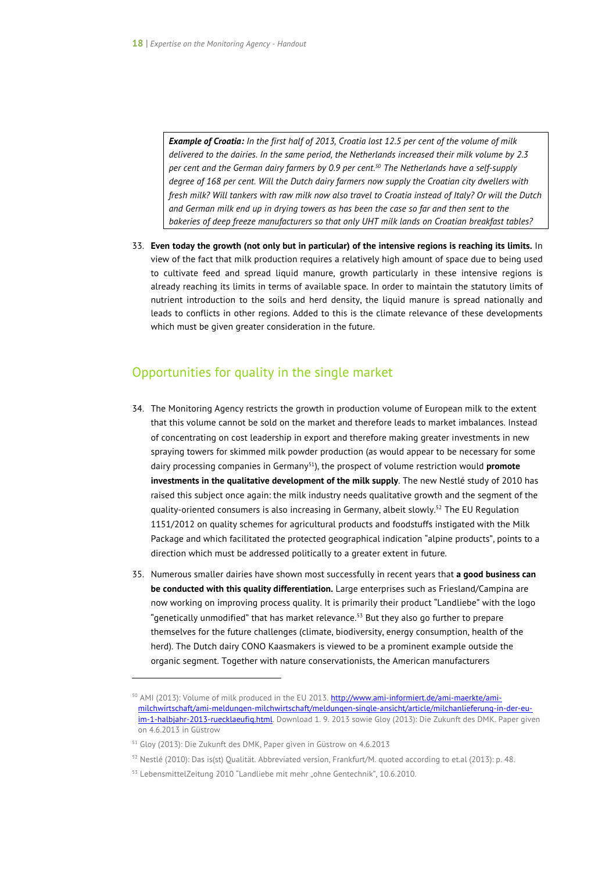*Example of Croatia: In the first half of 2013, Croatia lost 12.5 per cent of the volume of milk delivered to the dairies. In the same period, the Netherlands increased their milk volume by 2.3 per cent and the German dairy farmers by 0.9 per cent. <sup>50</sup> The Netherlands have a self-supply degree of 168 per cent. Will the Dutch dairy farmers now supply the Croatian city dwellers with fresh milk? Will tankers with raw milk now also travel to Croatia instead of Italy? Or will the Dutch and German milk end up in drying towers as has been the case so far and then sent to the bakeries of deep freeze manufacturers so that only UHT milk lands on Croatian breakfast tables?* 

33. **Even today the growth (not only but in particular) of the intensive regions is reaching its limits.** In view of the fact that milk production requires a relatively high amount of space due to being used to cultivate feed and spread liquid manure, growth particularly in these intensive regions is already reaching its limits in terms of available space. In order to maintain the statutory limits of nutrient introduction to the soils and herd density, the liquid manure is spread nationally and leads to conflicts in other regions. Added to this is the climate relevance of these developments which must be given greater consideration in the future.

#### Opportunities for quality in the single market

- 34. The Monitoring Agency restricts the growth in production volume of European milk to the extent that this volume cannot be sold on the market and therefore leads to market imbalances. Instead of concentrating on cost leadership in export and therefore making greater investments in new spraying towers for skimmed milk powder production (as would appear to be necessary for some dairy processing companies in Germany51), the prospect of volume restriction would **promote investments in the qualitative development of the milk supply**. The new Nestlé study of 2010 has raised this subject once again: the milk industry needs qualitative growth and the segment of the quality-oriented consumers is also increasing in Germany, albeit slowly.52 The EU Regulation 1151/2012 on quality schemes for agricultural products and foodstuffs instigated with the Milk Package and which facilitated the protected geographical indication "alpine products", points to a direction which must be addressed politically to a greater extent in future.
- 35. Numerous smaller dairies have shown most successfully in recent years that **a good business can be conducted with this quality differentiation.** Large enterprises such as Friesland/Campina are now working on improving process quality. It is primarily their product "Landliebe" with the logo "genetically unmodified" that has market relevance. $^{\rm 53}$  But they also go further to prepare themselves for the future challenges (climate, biodiversity, energy consumption, health of the herd). The Dutch dairy CONO Kaasmakers is viewed to be a prominent example outside the organic segment. Together with nature conservationists, the American manufacturers

<sup>&</sup>lt;sup>50</sup> AMI (2013): Volume of milk produced in the EU 2013. http://www.ami-informiert.de/ami-maerkte/amimilchwirtschaft/ami-meldungen-milchwirtschaft/meldungen-single-ansicht/article/milchanlieferung-in-der-euim-1-halbjahr-2013-ruecklaeufig.html. Download 1. 9. 2013 sowie Gloy (2013): Die Zukunft des DMK. Paper given on 4.6.2013 in Güstrow

<sup>51</sup> Gloy (2013): Die Zukunft des DMK, Paper given in Güstrow on 4.6.2013

<sup>52</sup> Nestlé (2010): Das is(st) Qualität. Abbreviated version, Frankfurt/M. quoted according to et.al (2013): p. 48.

<sup>&</sup>lt;sup>53</sup> LebensmittelZeitung 2010 "Landliebe mit mehr "ohne Gentechnik", 10.6.2010.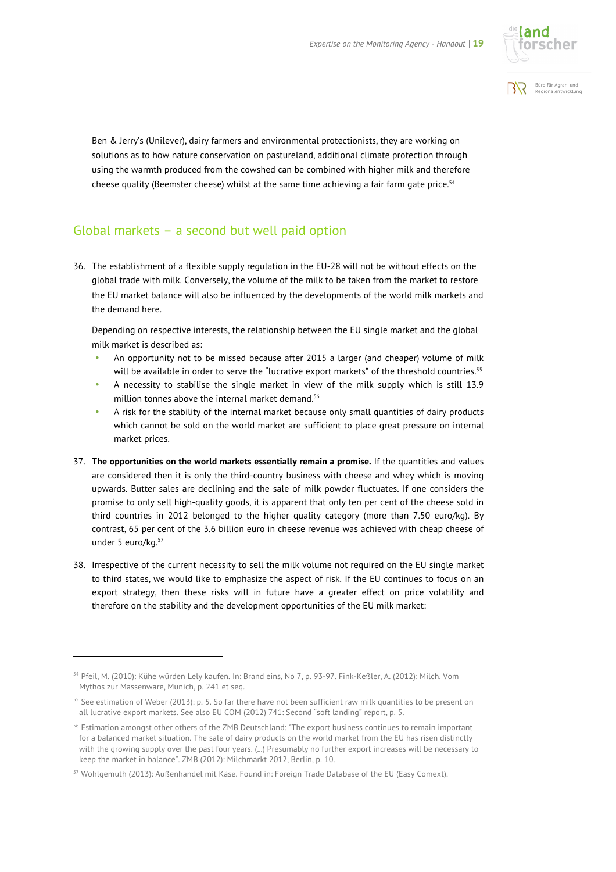



Ben & Jerry's (Unilever), dairy farmers and environmental protectionists, they are working on solutions as to how nature conservation on pastureland, additional climate protection through using the warmth produced from the cowshed can be combined with higher milk and therefore cheese quality (Beemster cheese) whilst at the same time achieving a fair farm gate price.<sup>54</sup>

### Global markets – a second but well paid option

36. The establishment of a flexible supply regulation in the EU-28 will not be without effects on the global trade with milk. Conversely, the volume of the milk to be taken from the market to restore the EU market balance will also be influenced by the developments of the world milk markets and the demand here.

Depending on respective interests, the relationship between the EU single market and the global milk market is described as:

- An opportunity not to be missed because after 2015 a larger (and cheaper) volume of milk will be available in order to serve the "lucrative export markets" of the threshold countries.<sup>55</sup>
- A necessity to stabilise the single market in view of the milk supply which is still 13.9 million tonnes above the internal market demand.<sup>56</sup>
- A risk for the stability of the internal market because only small quantities of dairy products which cannot be sold on the world market are sufficient to place great pressure on internal market prices.
- 37. **The opportunities on the world markets essentially remain a promise.** If the quantities and values are considered then it is only the third-country business with cheese and whey which is moving upwards. Butter sales are declining and the sale of milk powder fluctuates. If one considers the promise to only sell high-quality goods, it is apparent that only ten per cent of the cheese sold in third countries in 2012 belonged to the higher quality category (more than 7.50 euro/kg). By contrast, 65 per cent of the 3.6 billion euro in cheese revenue was achieved with cheap cheese of under 5 euro/kg.<sup>57</sup>
- 38. Irrespective of the current necessity to sell the milk volume not required on the EU single market to third states, we would like to emphasize the aspect of risk. If the EU continues to focus on an export strategy, then these risks will in future have a greater effect on price volatility and therefore on the stability and the development opportunities of the EU milk market:

<sup>54</sup> Pfeil, M. (2010): Kühe würden Lely kaufen. In: Brand eins, No 7, p. 93-97. Fink-Keßler, A. (2012): Milch. Vom Mythos zur Massenware, Munich, p. 241 et seq.

<sup>&</sup>lt;sup>55</sup> See estimation of Weber (2013): p. 5. So far there have not been sufficient raw milk quantities to be present on all lucrative export markets. See also EU COM (2012) 741: Second "soft landing" report, p. 5.

<sup>&</sup>lt;sup>56</sup> Estimation amongst other others of the ZMB Deutschland: "The export business continues to remain important for a balanced market situation. The sale of dairy products on the world market from the EU has risen distinctly with the growing supply over the past four years. (...) Presumably no further export increases will be necessary to keep the market in balance". ZMB (2012): Milchmarkt 2012, Berlin, p. 10.

<sup>57</sup> Wohlgemuth (2013): Außenhandel mit Käse. Found in: Foreign Trade Database of the EU (Easy Comext).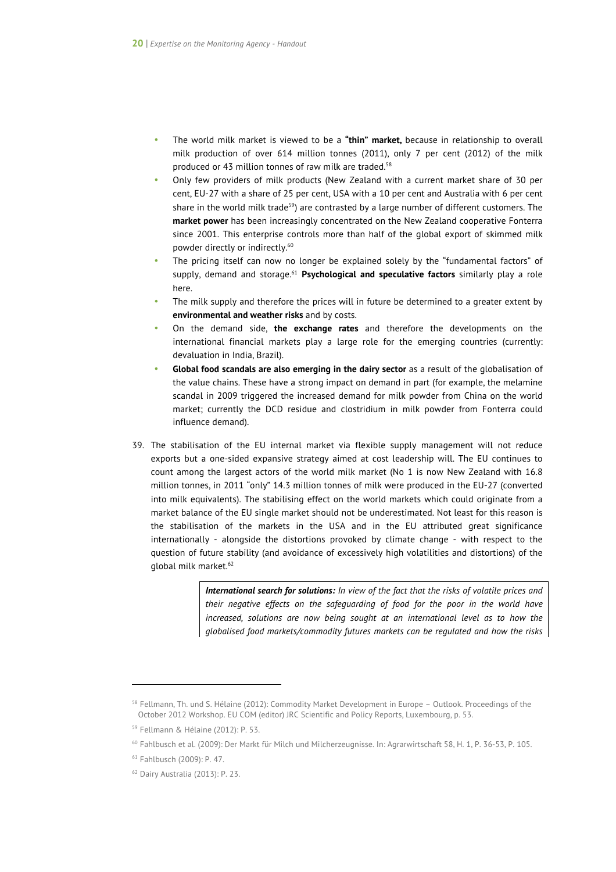- The world milk market is viewed to be a **"thin" market,** because in relationship to overall milk production of over 614 million tonnes (2011), only 7 per cent (2012) of the milk produced or 43 million tonnes of raw milk are traded.<sup>58</sup>
- Only few providers of milk products (New Zealand with a current market share of 30 per cent, EU-27 with a share of 25 per cent, USA with a 10 per cent and Australia with 6 per cent share in the world milk trade<sup>59</sup>) are contrasted by a large number of different customers. The **market power** has been increasingly concentrated on the New Zealand cooperative Fonterra since 2001. This enterprise controls more than half of the global export of skimmed milk powder directly or indirectly.60
- The pricing itself can now no longer be explained solely by the "fundamental factors" of supply, demand and storage.61 **Psychological and speculative factors** similarly play a role here.
- The milk supply and therefore the prices will in future be determined to a greater extent by **environmental and weather risks** and by costs.
- On the demand side, **the exchange rates** and therefore the developments on the international financial markets play a large role for the emerging countries (currently: devaluation in India, Brazil).
- **Global food scandals are also emerging in the dairy sector** as a result of the globalisation of the value chains. These have a strong impact on demand in part (for example, the melamine scandal in 2009 triggered the increased demand for milk powder from China on the world market; currently the DCD residue and clostridium in milk powder from Fonterra could influence demand).
- 39. The stabilisation of the EU internal market via flexible supply management will not reduce exports but a one-sided expansive strategy aimed at cost leadership will. The EU continues to count among the largest actors of the world milk market (No 1 is now New Zealand with 16.8 million tonnes, in 2011 "only" 14.3 million tonnes of milk were produced in the EU-27 (converted into milk equivalents). The stabilising effect on the world markets which could originate from a market balance of the EU single market should not be underestimated. Not least for this reason is the stabilisation of the markets in the USA and in the EU attributed great significance internationally - alongside the distortions provoked by climate change - with respect to the question of future stability (and avoidance of excessively high volatilities and distortions) of the global milk market.<sup>62</sup>

*International search for solutions: In view of the fact that the risks of volatile prices and their negative effects on the safeguarding of food for the poor in the world have increased, solutions are now being sought at an international level as to how the globalised food markets/commodity futures markets can be regulated and how the risks* 

 $\overline{a}$ 

<sup>58</sup> Fellmann, Th. und S. Hélaine (2012): Commodity Market Development in Europe – Outlook. Proceedings of the October 2012 Workshop. EU COM (editor) JRC Scientific and Policy Reports, Luxembourg, p. 53.

<sup>59</sup> Fellmann & Hélaine (2012): P. 53.

<sup>60</sup> Fahlbusch et al. (2009): Der Markt für Milch und Milcherzeugnisse. In: Agrarwirtschaft 58, H. 1, P. 36-53, P. 105.

<sup>61</sup> Fahlbusch (2009): P. 47.

<sup>62</sup> Dairy Australia (2013): P. 23.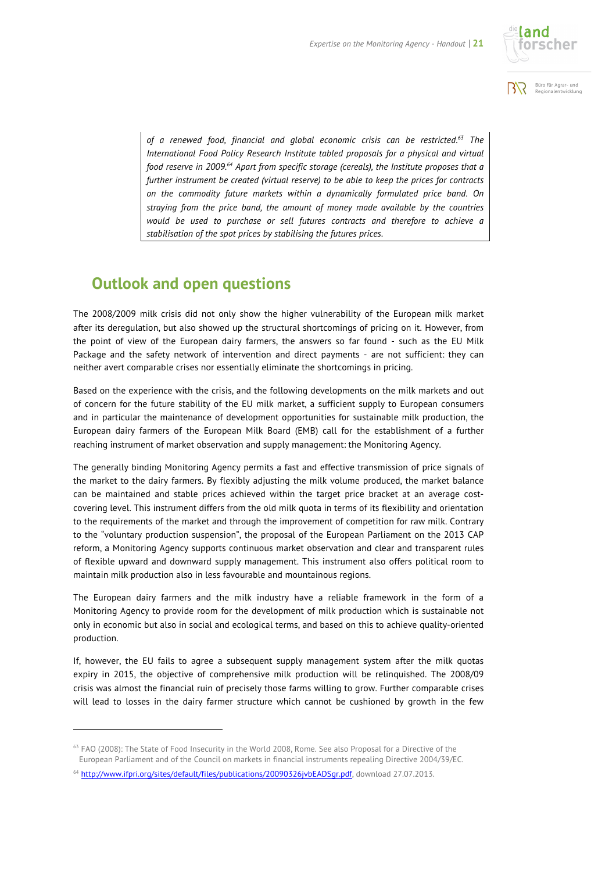



*of a renewed food, financial and global economic crisis can be restricted.63 The International Food Policy Research Institute tabled proposals for a physical and virtual food reserve in 2009.64 Apart from specific storage (cereals), the Institute proposes that a further instrument be created (virtual reserve) to be able to keep the prices for contracts on the commodity future markets within a dynamically formulated price band. On straying from the price band, the amount of money made available by the countries would be used to purchase or sell futures contracts and therefore to achieve a stabilisation of the spot prices by stabilising the futures prices.* 

## **Outlook and open questions**

The 2008/2009 milk crisis did not only show the higher vulnerability of the European milk market after its deregulation, but also showed up the structural shortcomings of pricing on it. However, from the point of view of the European dairy farmers, the answers so far found - such as the EU Milk Package and the safety network of intervention and direct payments - are not sufficient: they can neither avert comparable crises nor essentially eliminate the shortcomings in pricing.

Based on the experience with the crisis, and the following developments on the milk markets and out of concern for the future stability of the EU milk market, a sufficient supply to European consumers and in particular the maintenance of development opportunities for sustainable milk production, the European dairy farmers of the European Milk Board (EMB) call for the establishment of a further reaching instrument of market observation and supply management: the Monitoring Agency.

The generally binding Monitoring Agency permits a fast and effective transmission of price signals of the market to the dairy farmers. By flexibly adjusting the milk volume produced, the market balance can be maintained and stable prices achieved within the target price bracket at an average costcovering level. This instrument differs from the old milk quota in terms of its flexibility and orientation to the requirements of the market and through the improvement of competition for raw milk. Contrary to the "voluntary production suspension", the proposal of the European Parliament on the 2013 CAP reform, a Monitoring Agency supports continuous market observation and clear and transparent rules of flexible upward and downward supply management. This instrument also offers political room to maintain milk production also in less favourable and mountainous regions.

The European dairy farmers and the milk industry have a reliable framework in the form of a Monitoring Agency to provide room for the development of milk production which is sustainable not only in economic but also in social and ecological terms, and based on this to achieve quality-oriented production.

If, however, the EU fails to agree a subsequent supply management system after the milk quotas expiry in 2015, the objective of comprehensive milk production will be relinquished. The 2008/09 crisis was almost the financial ruin of precisely those farms willing to grow. Further comparable crises will lead to losses in the dairy farmer structure which cannot be cushioned by growth in the few

-

<sup>&</sup>lt;sup>63</sup> FAO (2008): The State of Food Insecurity in the World 2008, Rome. See also Proposal for a Directive of the European Parliament and of the Council on markets in financial instruments repealing Directive 2004/39/EC.

<sup>&</sup>lt;sup>64</sup> http://www.ifpri.org/sites/default/files/publications/20090326jvbEADSgr.pdf, download 27.07.2013.